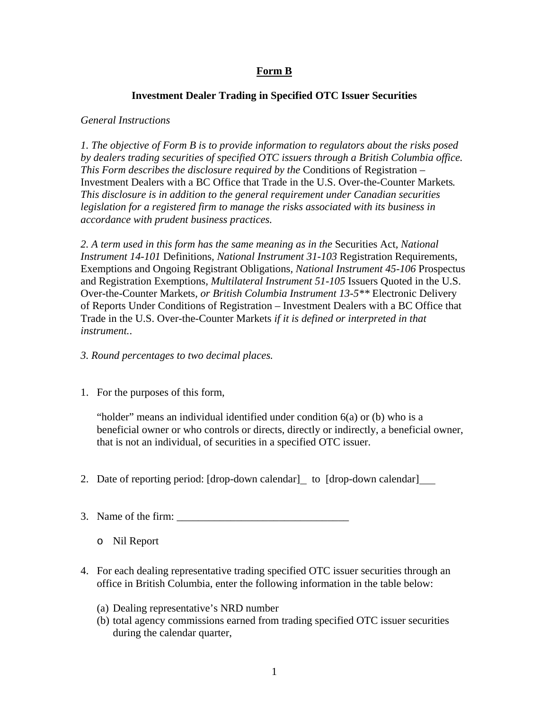# **Form B**

## **Investment Dealer Trading in Specified OTC Issuer Securities**

### *General Instructions*

*1. The objective of Form B is to provide information to regulators about the risks posed by dealers trading securities of specified OTC issuers through a British Columbia office. This Form describes the disclosure required by the* Conditions of Registration – Investment Dealers with a BC Office that Trade in the U.S. Over-the-Counter Markets*. This disclosure is in addition to the general requirement under Canadian securities legislation for a registered firm to manage the risks associated with its business in accordance with prudent business practices.* 

*2. A term used in this form has the same meaning as in the* Securities Act*, National Instrument 14-101* Definitions*, National Instrument 31-103* Registration Requirements, Exemptions and Ongoing Registrant Obligations*, National Instrument 45-106* Prospectus and Registration Exemptions*, Multilateral Instrument 51-105* Issuers Quoted in the U.S. Over-the-Counter Markets*, or British Columbia Instrument 13-5\*\** Electronic Delivery of Reports Under Conditions of Registration – Investment Dealers with a BC Office that Trade in the U.S. Over-the-Counter Markets *if it is defined or interpreted in that instrument.*.

#### *3. Round percentages to two decimal places.*

1. For the purposes of this form,

"holder" means an individual identified under condition 6(a) or (b) who is a beneficial owner or who controls or directs, directly or indirectly, a beneficial owner, that is not an individual, of securities in a specified OTC issuer.

- 2. Date of reporting period: [drop-down calendar] to [drop-down calendar]
- 3. Name of the firm:  $\frac{1}{2}$ 
	- o Nil Report
- 4. For each dealing representative trading specified OTC issuer securities through an office in British Columbia, enter the following information in the table below:
	- (a) Dealing representative's NRD number
	- (b) total agency commissions earned from trading specified OTC issuer securities during the calendar quarter,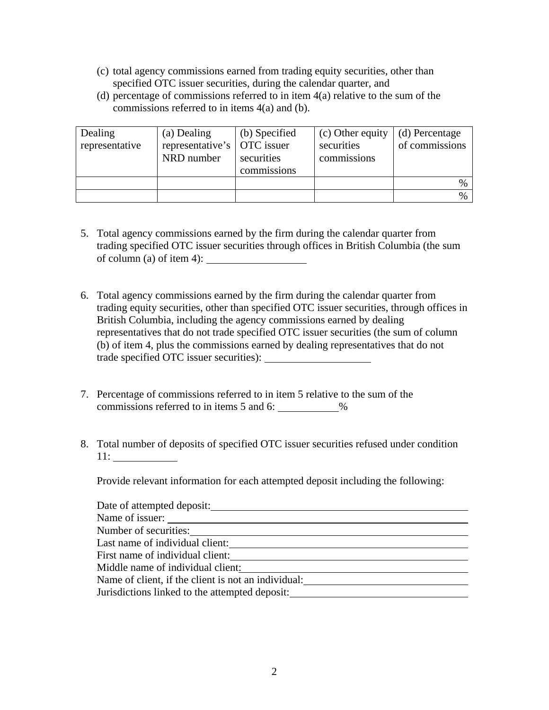- (c) total agency commissions earned from trading equity securities, other than specified OTC issuer securities, during the calendar quarter, and
- (d) percentage of commissions referred to in item 4(a) relative to the sum of the commissions referred to in items 4(a) and (b).

| Dealing<br>representative | (a) Dealing<br>representative's   OTC issuer<br>NRD number | (b) Specified<br>securities<br>commissions | (c) Other equity<br>securities<br>commissions | (d) Percentage<br>of commissions |
|---------------------------|------------------------------------------------------------|--------------------------------------------|-----------------------------------------------|----------------------------------|
|                           |                                                            |                                            |                                               | $\%$                             |
|                           |                                                            |                                            |                                               | $\%$                             |

- 5. Total agency commissions earned by the firm during the calendar quarter from trading specified OTC issuer securities through offices in British Columbia (the sum of column (a) of item 4):  $\frac{1}{\sqrt{1-\frac{1}{\sqrt{1-\frac{1}{\sqrt{1-\frac{1}{\sqrt{1-\frac{1}{\sqrt{1-\frac{1}{\sqrt{1-\frac{1}{\sqrt{1-\frac{1}{\sqrt{1-\frac{1}{\sqrt{1-\frac{1}{\sqrt{1-\frac{1}{\sqrt{1-\frac{1}{\sqrt{1-\frac{1}{\sqrt{1-\frac{1}{\sqrt{1-\frac{1}{\sqrt{1-\frac{1}{\sqrt{1-\frac{1}{\sqrt{1-\frac{1}{\sqrt{1-\frac{1}{\sqrt{1-\frac{1}{\sqrt{1-\frac{1}{\sqrt{1-\frac{1}{$
- 6. Total agency commissions earned by the firm during the calendar quarter from trading equity securities, other than specified OTC issuer securities, through offices in British Columbia, including the agency commissions earned by dealing representatives that do not trade specified OTC issuer securities (the sum of column (b) of item 4, plus the commissions earned by dealing representatives that do not trade specified OTC issuer securities):
- 7. Percentage of commissions referred to in item 5 relative to the sum of the commissions referred to in items 5 and 6: \_\_\_\_\_\_\_\_\_\_\_%
- 8. Total number of deposits of specified OTC issuer securities refused under condition 11:

Provide relevant information for each attempted deposit including the following:

| Date of attempted deposit:                          |
|-----------------------------------------------------|
| Name of issuer:                                     |
| Number of securities:                               |
| Last name of individual client:                     |
| First name of individual client:                    |
| Middle name of individual client:                   |
| Name of client, if the client is not an individual: |
| Jurisdictions linked to the attempted deposit:      |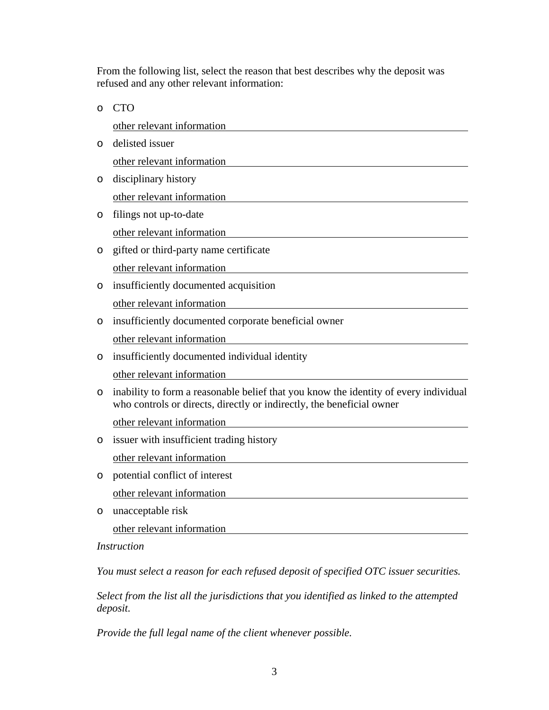From the following list, select the reason that best describes why the deposit was refused and any other relevant information:

o CTO other relevant information o delisted issuer other relevant information o disciplinary history other relevant information o filings not up-to-date other relevant information o gifted or third-party name certificate other relevant information o insufficiently documented acquisition other relevant information o insufficiently documented corporate beneficial owner other relevant information o insufficiently documented individual identity other relevant information o inability to form a reasonable belief that you know the identity of every individual who controls or directs, directly or indirectly, the beneficial owner other relevant information o issuer with insufficient trading history other relevant information o potential conflict of interest other relevant information o unacceptable risk other relevant information *Instruction*

*You must select a reason for each refused deposit of specified OTC issuer securities.* 

*Select from the list all the jurisdictions that you identified as linked to the attempted deposit.* 

*Provide the full legal name of the client whenever possible.*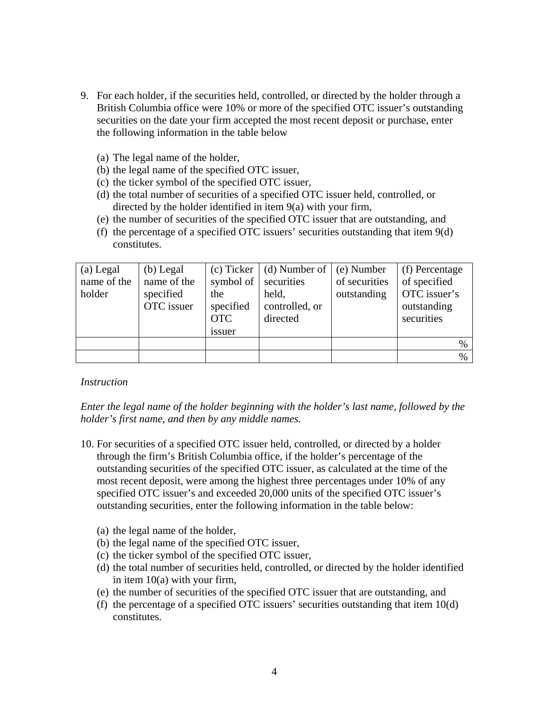- 9. For each holder, if the securities held, controlled, or directed by the holder through a British Columbia office were 10% or more of the specified OTC issuer's outstanding securities on the date your firm accepted the most recent deposit or purchase, enter the following information in the table below
	- (a) The legal name of the holder,
	- (b) the legal name of the specified OTC issuer,
	- (c) the ticker symbol of the specified OTC issuer,
	- (d) the total number of securities of a specified OTC issuer held, controlled, or directed by the holder identified in item 9(a) with your firm,
	- (e) the number of securities of the specified OTC issuer that are outstanding, and
	- (f) the percentage of a specified OTC issuers' securities outstanding that item 9(d) constitutes.

| (a) Legal<br>name of the<br>holder | $(b)$ Legal<br>name of the<br>specified<br>OTC issuer | (c) Ticker<br>symbol of securities<br>the<br>specified<br><b>OTC</b><br>issuer | (d) Number of<br>held,<br>controlled, or<br>directed | (e) Number<br>of securities<br>outstanding | (f) Percentage<br>of specified<br>OTC issuer's<br>outstanding<br>securities |
|------------------------------------|-------------------------------------------------------|--------------------------------------------------------------------------------|------------------------------------------------------|--------------------------------------------|-----------------------------------------------------------------------------|
|                                    |                                                       |                                                                                |                                                      |                                            | %                                                                           |
|                                    |                                                       |                                                                                |                                                      |                                            | $\%$                                                                        |

#### *Instruction*

*Enter the legal name of the holder beginning with the holder's last name, followed by the holder's first name, and then by any middle names.* 

- 10. For securities of a specified OTC issuer held, controlled, or directed by a holder through the firm's British Columbia office, if the holder's percentage of the outstanding securities of the specified OTC issuer, as calculated at the time of the most recent deposit, were among the highest three percentages under 10% of any specified OTC issuer's and exceeded 20,000 units of the specified OTC issuer's outstanding securities, enter the following information in the table below:
	- (a) the legal name of the holder,
	- (b) the legal name of the specified OTC issuer,
	- (c) the ticker symbol of the specified OTC issuer,
	- (d) the total number of securities held, controlled, or directed by the holder identified in item 10(a) with your firm,
	- (e) the number of securities of the specified OTC issuer that are outstanding, and
	- (f) the percentage of a specified OTC issuers' securities outstanding that item 10(d) constitutes.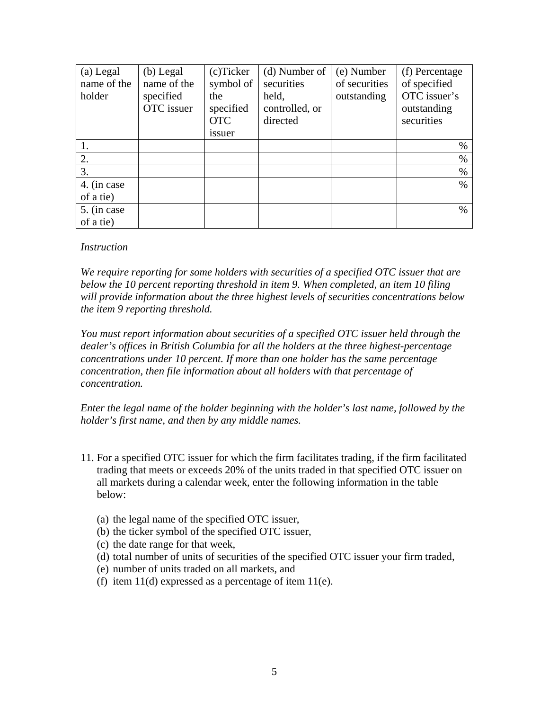| (a) Legal<br>name of the<br>holder | $(b)$ Legal<br>name of the<br>specified<br>OTC issuer | (c)Ticker<br>symbol of<br>the<br>specified<br><b>OTC</b><br><i>issuer</i> | (d) Number of<br>securities<br>held,<br>controlled, or<br>directed | (e) Number<br>of securities<br>outstanding | (f) Percentage<br>of specified<br>OTC issuer's<br>outstanding<br>securities |
|------------------------------------|-------------------------------------------------------|---------------------------------------------------------------------------|--------------------------------------------------------------------|--------------------------------------------|-----------------------------------------------------------------------------|
|                                    |                                                       |                                                                           |                                                                    |                                            | $\%$                                                                        |
| 2.                                 |                                                       |                                                                           |                                                                    |                                            | $\%$                                                                        |
| 3.                                 |                                                       |                                                                           |                                                                    |                                            | $\%$                                                                        |
| 4. (in case                        |                                                       |                                                                           |                                                                    |                                            | $\%$                                                                        |
| of a tie)                          |                                                       |                                                                           |                                                                    |                                            |                                                                             |
| 5. (in case                        |                                                       |                                                                           |                                                                    |                                            | $\%$                                                                        |
| of a tie)                          |                                                       |                                                                           |                                                                    |                                            |                                                                             |

#### *Instruction*

*We require reporting for some holders with securities of a specified OTC issuer that are below the 10 percent reporting threshold in item 9. When completed, an item 10 filing will provide information about the three highest levels of securities concentrations below the item 9 reporting threshold.* 

*You must report information about securities of a specified OTC issuer held through the dealer's offices in British Columbia for all the holders at the three highest-percentage concentrations under 10 percent. If more than one holder has the same percentage concentration, then file information about all holders with that percentage of concentration.* 

*Enter the legal name of the holder beginning with the holder's last name, followed by the holder's first name, and then by any middle names.* 

- 11. For a specified OTC issuer for which the firm facilitates trading, if the firm facilitated trading that meets or exceeds 20% of the units traded in that specified OTC issuer on all markets during a calendar week, enter the following information in the table below:
	- (a) the legal name of the specified OTC issuer,
	- (b) the ticker symbol of the specified OTC issuer,
	- (c) the date range for that week,
	- (d) total number of units of securities of the specified OTC issuer your firm traded,
	- (e) number of units traded on all markets, and
	- (f) item  $11(d)$  expressed as a percentage of item  $11(e)$ .